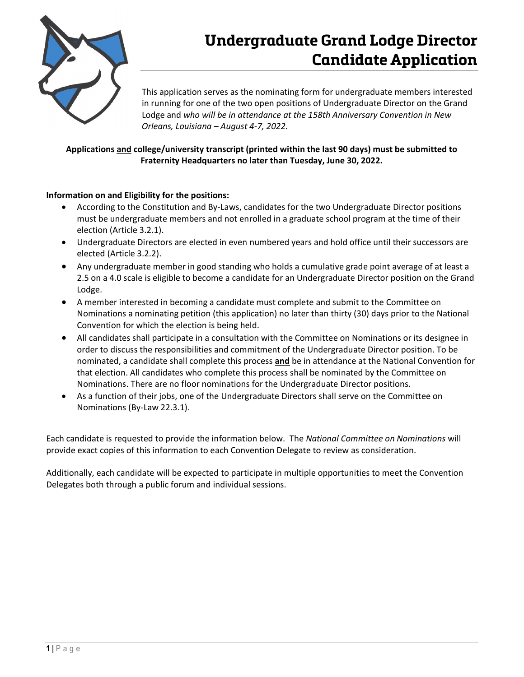

# **Undergraduate Grand Lodge Director Candidate Application**

This application serves as the nominating form for undergraduate members interested in running for one of the two open positions of Undergraduate Director on the Grand Lodge and *who will be in attendance at the 158th Anniversary Convention in New Orleans, Louisiana – August 4-7, 2022*.

### **Applications and college/university transcript (printed within the last 90 days) must be submitted to Fraternity Headquarters no later than Tuesday, June 30, 2022.**

#### **Information on and Eligibility for the positions:**

- According to the Constitution and By-Laws, candidates for the two Undergraduate Director positions must be undergraduate members and not enrolled in a graduate school program at the time of their election (Article 3.2.1).
- Undergraduate Directors are elected in even numbered years and hold office until their successors are elected (Article 3.2.2).
- Any undergraduate member in good standing who holds a cumulative grade point average of at least a 2.5 on a 4.0 scale is eligible to become a candidate for an Undergraduate Director position on the Grand Lodge.
- A member interested in becoming a candidate must complete and submit to the Committee on Nominations a nominating petition (this application) no later than thirty (30) days prior to the National Convention for which the election is being held.
- All candidates shall participate in a consultation with the Committee on Nominations or its designee in order to discuss the responsibilities and commitment of the Undergraduate Director position. To be nominated, a candidate shall complete this process **and** be in attendance at the National Convention for that election. All candidates who complete this process shall be nominated by the Committee on Nominations. There are no floor nominations for the Undergraduate Director positions.
- As a function of their jobs, one of the Undergraduate Directors shall serve on the Committee on Nominations (By-Law 22.3.1).

Each candidate is requested to provide the information below. The *National Committee on Nominations* will provide exact copies of this information to each Convention Delegate to review as consideration.

Additionally, each candidate will be expected to participate in multiple opportunities to meet the Convention Delegates both through a public forum and individual sessions.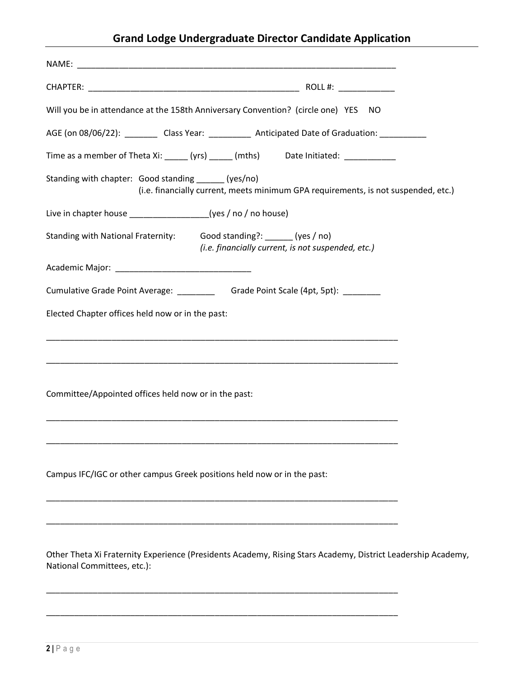## **Grand Lodge Undergraduate Director Candidate Application**

| Will you be in attendance at the 158th Anniversary Convention? (circle one) YES NO                                                          |  |  |
|---------------------------------------------------------------------------------------------------------------------------------------------|--|--|
| AGE (on 08/06/22): __________ Class Year: ____________ Anticipated Date of Graduation: ____________                                         |  |  |
| Time as a member of Theta Xi: _____ (yrs) _____ (mths) Date Initiated: __________                                                           |  |  |
| Standing with chapter: Good standing _______(yes/no)<br>(i.e. financially current, meets minimum GPA requirements, is not suspended, etc.)  |  |  |
| Live in chapter house ___________________(yes / no / no house)                                                                              |  |  |
| Standing with National Fraternity: Good standing?: ______ (yes / no)<br>(i.e. financially current, is not suspended, etc.)                  |  |  |
|                                                                                                                                             |  |  |
| Cumulative Grade Point Average: ________________Grade Point Scale (4pt, 5pt): _________                                                     |  |  |
| Elected Chapter offices held now or in the past:                                                                                            |  |  |
| <u> 1989 - Johann Stoff, amerikansk politiker (d. 1989)</u>                                                                                 |  |  |
| Committee/Appointed offices held now or in the past:                                                                                        |  |  |
| Campus IFC/IGC or other campus Greek positions held now or in the past:                                                                     |  |  |
| Other Theta Xi Fraternity Experience (Presidents Academy, Rising Stars Academy, District Leadership Academy,<br>National Committees, etc.): |  |  |

\_\_\_\_\_\_\_\_\_\_\_\_\_\_\_\_\_\_\_\_\_\_\_\_\_\_\_\_\_\_\_\_\_\_\_\_\_\_\_\_\_\_\_\_\_\_\_\_\_\_\_\_\_\_\_\_\_\_\_\_\_\_\_\_\_\_\_\_\_\_\_\_\_\_\_